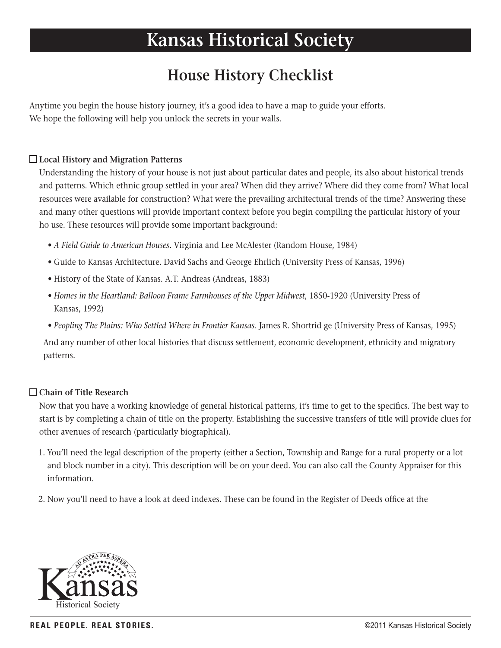# **Kansas Historical Society**

# **House History Checklist**

Anytime you begin the house history journey, it's a good idea to have a map to guide your efforts. We hope the following will help you unlock the secrets in your walls.

# **Local History and Migration Patterns**

Understanding the history of your house is not just about particular dates and people, its also about historical trends and patterns. Which ethnic group settled in your area? When did they arrive? Where did they come from? What local resources were available for construction? What were the prevailing architectural trends of the time? Answering these and many other questions will provide important context before you begin compiling the particular history of your ho use. These resources will provide some important background:

- *A Field Guide to American Houses*. Virginia and Lee McAlester (Random House, 1984)
- Guide to Kansas Architecture. David Sachs and George Ehrlich (University Press of Kansas, 1996)
- History of the State of Kansas. A.T. Andreas (Andreas, 1883)
- Homes in the Heartland: Balloon Frame Farmhouses of the Upper Midwest, 1850-1920 (University Press of Kansas, 1992)
- *Peopling The Plains: Who Settled Where in Frontier Kansas*. James R. Shortrid ge (University Press of Kansas, 1995)

 And any number of other local histories that discuss settlement, economic development, ethnicity and migratory patterns.

#### **Chain of Title Research**

Now that you have a working knowledge of general historical patterns, it's time to get to the specifics. The best way to start is by completing a chain of title on the property. Establishing the successive transfers of title will provide clues for other avenues of research (particularly biographical).

- 1. You'll need the legal description of the property (either a Section, Township and Range for a rural property or a lot and block number in a city). This description will be on your deed. You can also call the County Appraiser for this information.
- 2. Now you'll need to have a look at deed indexes. These can be found in the Register of Deeds office at the

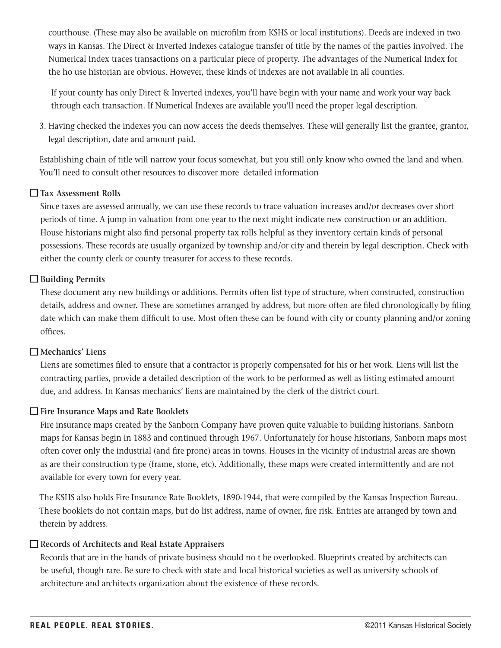courthouse. (These may also be available on microfilm from KSHS or local institutions). Deeds are indexed in two ways in Kansas. The Direct & Inverted Indexes catalogue transfer of title by the names of the parties involved. The Numerical Index traces transactions on a particular piece of property. The advantages of the Numerical Index for the ho use historian are obvious. However, these kinds of indexes are not available in all counties.

 If your county has only Direct & Inverted indexes, you'll have begin with your name and work your way back through each transaction. If Numerical Indexes are available you'll need the proper legal description.

 3. Having checked the indexes you can now access the deeds themselves. These will generally list the grantee, grantor, legal description, date and amount paid.

 Establishing chain of title will narrow your focus somewhat, but you still only know who owned the land and when. You'll need to consult other resources to discover more detailed information

#### **Tax Assessment Rolls**

Since taxes are assessed annually, we can use these records to trace valuation increases and/or decreases over short periods of time. A jump in valuation from one year to the next might indicate new construction or an addition. House historians might also find personal property tax rolls helpful as they inventory certain kinds of personal possessions. These records are usually organized by township and/or city and therein by legal description. Check with either the county clerk or county treasurer for access to these records.

# **Building Permits**

These document any new buildings or additions. Permits often list type of structure, when constructed, construction details, address and owner. These are sometimes arranged by address, but more often are filed chronologically by filing date which can make them difficult to use. Most often these can be found with city or county planning and/or zoning offices.

#### **Mechanics' Liens**

Liens are sometimes filed to ensure that a contractor is properly compensated for his or her work. Liens will list the contracting parties, provide a detailed description of the work to be performed as well as listing estimated amount due, and address. In Kansas mechanics' liens are maintained by the clerk of the district court.

# **Fire Insurance Maps and Rate Booklets**

Fire insurance maps created by the Sanborn Company have proven quite valuable to building historians. Sanborn maps for Kansas begin in 1883 and continued through 1967. Unfortunately for house historians, Sanborn maps most often cover only the industrial (and fire prone) areas in towns. Houses in the vicinity of industrial areas are shown as are their construction type (frame, stone, etc). Additionally, these maps were created intermittently and are not available for every town for every year.

 The KSHS also holds Fire Insurance Rate Booklets, 1890-1944, that were compiled by the Kansas Inspection Bureau. These booklets do not contain maps, but do list address, name of owner, fire risk. Entries are arranged by town and therein by address.

#### **Records of Architects and Real Estate Appraisers**

Records that are in the hands of private business should no t be overlooked. Blueprints created by architects can be useful, though rare. Be sure to check with state and local historical societies as well as university schools of architecture and architects organization about the existence of these records.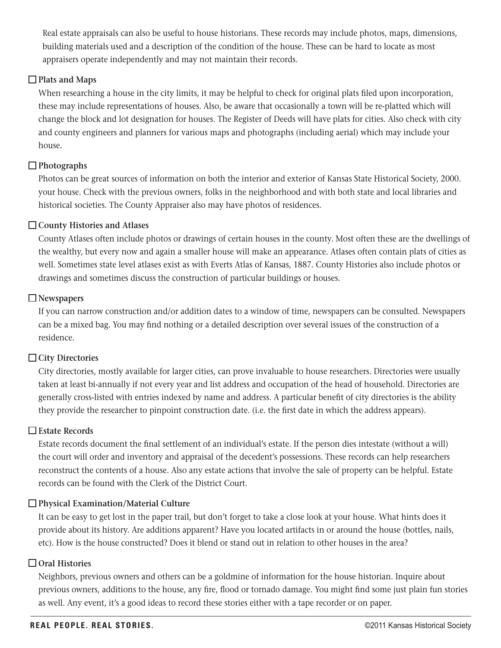Real estate appraisals can also be useful to house historians. These records may include photos, maps, dimensions, building materials used and a description of the condition of the house. These can be hard to locate as most appraisers operate independently and may not maintain their records.

#### **Plats and Maps**

When researching a house in the city limits, it may be helpful to check for original plats filed upon incorporation, these may include representations of houses. Also, be aware that occasionally a town will be re-platted which will change the block and lot designation for houses. The Register of Deeds will have plats for cities. Also check with city and county engineers and planners for various maps and photographs (including aerial) which may include your house.

# **Photographs**

Photos can be great sources of information on both the interior and exterior of Kansas State Historical Society, 2000. your house. Check with the previous owners, folks in the neighborhood and with both state and local libraries and historical societies. The County Appraiser also may have photos of residences.

#### **County Histories and Atlases**

County Atlases often include photos or drawings of certain houses in the county. Most often these are the dwellings of the wealthy, but every now and again a smaller house will make an appearance. Atlases often contain plats of cities as well. Sometimes state level atlases exist as with Everts Atlas of Kansas, 1887. County Histories also include photos or drawings and sometimes discuss the construction of particular buildings or houses.

#### **Newspapers**

If you can narrow construction and/or addition dates to a window of time, newspapers can be consulted. Newspapers can be a mixed bag. You may find nothing or a detailed description over several issues of the construction of a residence.

#### **City Directories**

City directories, mostly available for larger cities, can prove invaluable to house researchers. Directories were usually taken at least bi-annually if not every year and list address and occupation of the head of household. Directories are generally cross-listed with entries indexed by name and address. A particular benefit of city directories is the ability they provide the researcher to pinpoint construction date. (i.e. the first date in which the address appears).

#### **Estate Records**

Estate records document the final settlement of an individual's estate. If the person dies intestate (without a will) the court will order and inventory and appraisal of the decedent's possessions. These records can help researchers reconstruct the contents of a house. Also any estate actions that involve the sale of property can be helpful. Estate records can be found with the Clerk of the District Court.

#### **Physical Examination/Material Culture**

It can be easy to get lost in the paper trail, but don't forget to take a close look at your house. What hints does it provide about its history. Are additions apparent? Have you located artifacts in or around the house (bottles, nails, etc). How is the house constructed? Does it blend or stand out in relation to other houses in the area?

# **Oral Histories**

Neighbors, previous owners and others can be a goldmine of information for the house historian. Inquire about previous owners, additions to the house, any fire, flood or tornado damage. You might find some just plain fun stories as well. Any event, it's a good ideas to record these stories either with a tape recorder or on paper.